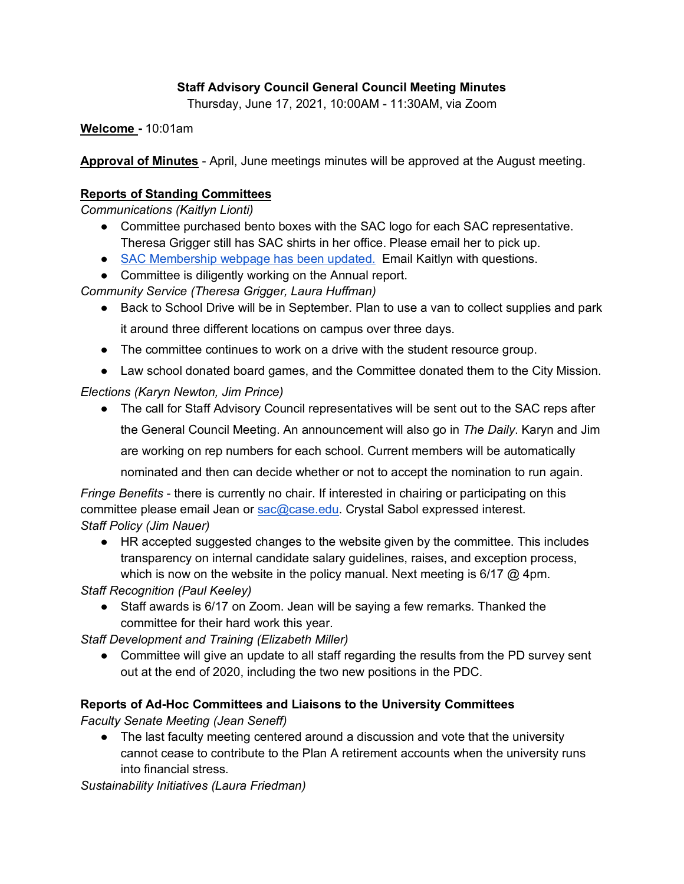## **Staff Advisory Council General Council Meeting Minutes**

Thursday, June 17, 2021, 10:00AM - 11:30AM, via Zoom

**Welcome -** 10:01am

**Approval of Minutes** - April, June meetings minutes will be approved at the August meeting.

## **Reports of Standing Committees**

*Communications (Kaitlyn Lionti)* 

- Committee purchased bento boxes with the SAC logo for each SAC representative. Theresa Grigger still has SAC shirts in her office. Please email her to pick up.
- SAC Membership webpage has been updated. Email Kaitlyn with questions.
- Committee is diligently working on the Annual report.

*Community Service (Theresa Grigger, Laura Huffman)*

● Back to School Drive will be in September. Plan to use a van to collect supplies and park

it around three different locations on campus over three days.

- The committee continues to work on a drive with the student resource group.
- Law school donated board games, and the Committee donated them to the City Mission.

*Elections (Karyn Newton, Jim Prince)*

● The call for Staff Advisory Council representatives will be sent out to the SAC reps after the General Council Meeting. An announcement will also go in *The Daily*. Karyn and Jim are working on rep numbers for each school. Current members will be automatically nominated and then can decide whether or not to accept the nomination to run again.

*Fringe Benefits* - there is currently no chair. If interested in chairing or participating on this

committee please email Jean or sac@case.edu. Crystal Sabol expressed interest. *Staff Policy (Jim Nauer)*

● HR accepted suggested changes to the website given by the committee. This includes transparency on internal candidate salary guidelines, raises, and exception process, which is now on the website in the policy manual. Next meeting is  $6/17$  @ 4pm.

*Staff Recognition (Paul Keeley)*

● Staff awards is 6/17 on Zoom. Jean will be saying a few remarks. Thanked the committee for their hard work this year.

*Staff Development and Training (Elizabeth Miller)*

● Committee will give an update to all staff regarding the results from the PD survey sent out at the end of 2020, including the two new positions in the PDC.

## **Reports of Ad-Hoc Committees and Liaisons to the University Committees**

*Faculty Senate Meeting (Jean Seneff)*

● The last faculty meeting centered around a discussion and vote that the university cannot cease to contribute to the Plan A retirement accounts when the university runs into financial stress.

*Sustainability Initiatives (Laura Friedman)*